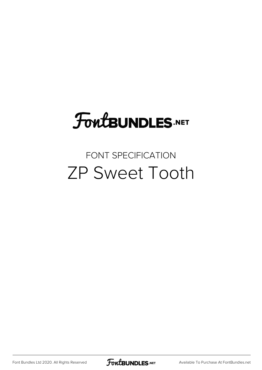# **FoutBUNDLES.NET**

### FONT SPECIFICATION ZP Sweet Tooth

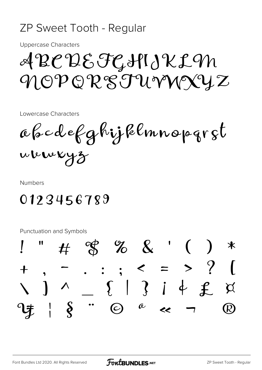#### ZP Sweet Tooth - Regular

**Uppercase Characters** 

## ABCDEFGHIJKLIN MOPORSTUVNIXYZ

Lowercase Characters

abcdefghijklmnopgrst whweyz

**Numbers** 

### 0123456789

Punctuation and Symbols

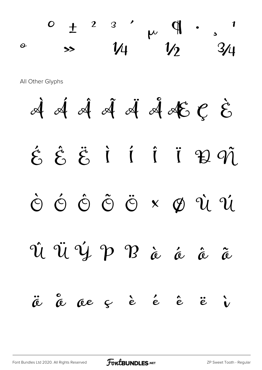¯ ° ± ² ³ ´ µ ¶ · ¸ ¹  $\sim$   $\frac{1}{4}$   $\frac{1}{2}$   $\frac{3}{4}$ All Other Glyphs  $\dot{\mathcal{A}}$   $\dot{\mathcal{A}}$   $\ddot{\mathcal{A}}$   $\dot{\mathcal{A}}$   $\dot{\mathcal{A}}$   $\dot{\mathcal{A}}$   $\mathcal{E}$   $\mathcal{C}$   $\dot{\mathcal{E}}$  $\acute{\epsilon}$   $\acute{\epsilon}$   $\ddot{\epsilon}$  i i i i  $\cancel{2}$   $\cancel{q}$ Ò Ó Ô Õ Ö × Ø Ù Ú Û Ü Ý Þ ß à á â ã ä å æ ç è é ê ë ì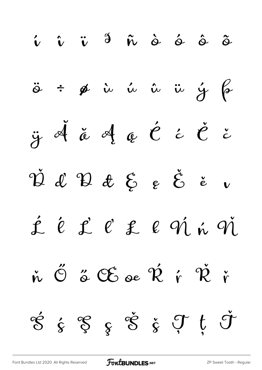

[Font Bundles Ltd 2020. All Rights Reserved](https://fontbundles.net/) **FoutBUNDLES.NET** [ZP Sweet Tooth - Regular](https://fontbundles.net/)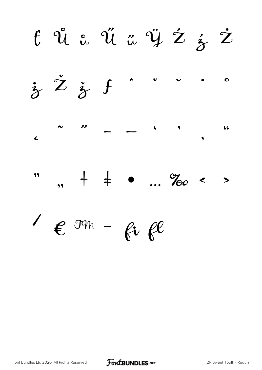t Û a Ű a Ÿ Ź ź Ż  $\dot{x}$   $\dot{z}$   $\dot{z}$  f  $\bullet$  $\sqrt{2}$  $\sim$  11  $\overline{\phantom{0}}$  $66$  $\overline{c}$  $, + + \cdot$  ... ‰ < 99  $\rightarrow$  $\ell$  on - fi fl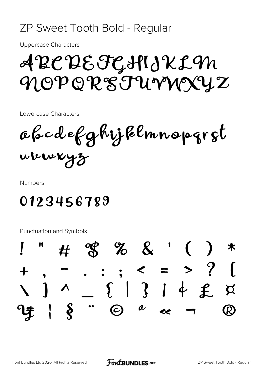#### ZP Sweet Tooth Bold - Regular

**Uppercase Characters** 

## A BC DE FGHIJ KL M MOPORSTUVNIXYZ

Lowercase Characters

abcdefghijklmnopgrst whweyz

**Numbers** 

### 0123456789

Punctuation and Symbols

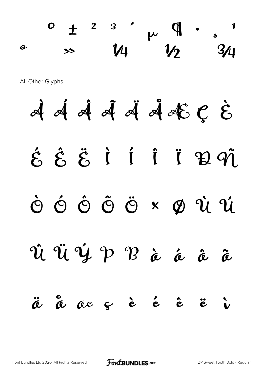**0** ± <sup>2</sup> <sup>3</sup>  $\mu$   $\mathcal{P}$  · <sub>s</sub>  $\frac{8}{34}$   $\frac{1}{4}$   $\frac{1}{2}$   $\frac{3}{4}$ 

All Other Glyphs

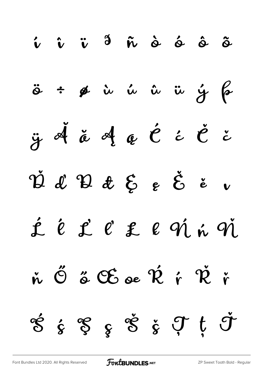

[Font Bundles Ltd 2020. All Rights Reserved](https://fontbundles.net/) **FoutBUNDLES.NET** [ZP Sweet Tooth Bold - Regular](https://fontbundles.net/)